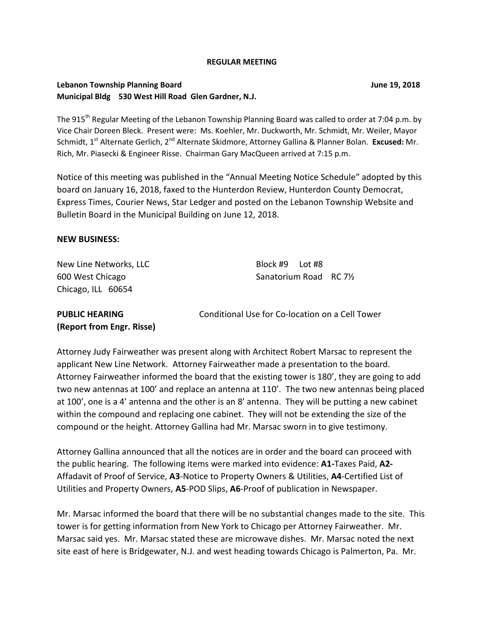#### **REGULAR MEETING**

### **Lebanon Township Planning Board June 19, 2018 Municipal Bldg 530 West Hill Road Glen Gardner, N.J.**

The 915<sup>th</sup> Regular Meeting of the Lebanon Township Planning Board was called to order at 7:04 p.m. by Vice Chair Doreen Bleck. Present were: Ms. Koehler, Mr. Duckworth, Mr. Schmidt, Mr. Weiler, Mayor Schmidt, 1st Alternate Gerlich, 2nd Alternate Skidmore, Attorney Gallina & Planner Bolan. **Excused:** Mr. Rich, Mr. Piasecki & Engineer Risse. Chairman Gary MacQueen arrived at 7:15 p.m.

Notice of this meeting was published in the "Annual Meeting Notice Schedule" adopted by this board on January 16, 2018, faxed to the Hunterdon Review, Hunterdon County Democrat, Express Times, Courier News, Star Ledger and posted on the Lebanon Township Website and Bulletin Board in the Municipal Building on June 12, 2018.

#### **NEW BUSINESS:**

New Line Networks, LLC Block #9 Lot #8 Chicago, ILL 60654

600 West Chicago Sanatorium Road RC 7<sup>1</sup>/<sub>2</sub>

| <b>PUBLIC HEARING</b>     | Conditional Use for Co-location on a Cell Tower |
|---------------------------|-------------------------------------------------|
| (Report from Engr. Risse) |                                                 |

Attorney Judy Fairweather was present along with Architect Robert Marsac to represent the applicant New Line Network. Attorney Fairweather made a presentation to the board. Attorney Fairweather informed the board that the existing tower is 180', they are going to add two new antennas at 100' and replace an antenna at 110'. The two new antennas being placed at 100', one is a 4' antenna and the other is an 8' antenna. They will be putting a new cabinet within the compound and replacing one cabinet. They will not be extending the size of the compound or the height. Attorney Gallina had Mr. Marsac sworn in to give testimony.

Attorney Gallina announced that all the notices are in order and the board can proceed with the public hearing. The following items were marked into evidence: **A1-**Taxes Paid, **A2-** Affadavit of Proof of Service, **A3**-Notice to Property Owners & Utilities, **A4**-Certified List of Utilities and Property Owners, **A5**-POD Slips, **A6**-Proof of publication in Newspaper.

Mr. Marsac informed the board that there will be no substantial changes made to the site. This tower is for getting information from New York to Chicago per Attorney Fairweather. Mr. Marsac said yes. Mr. Marsac stated these are microwave dishes. Mr. Marsac noted the next site east of here is Bridgewater, N.J. and west heading towards Chicago is Palmerton, Pa. Mr.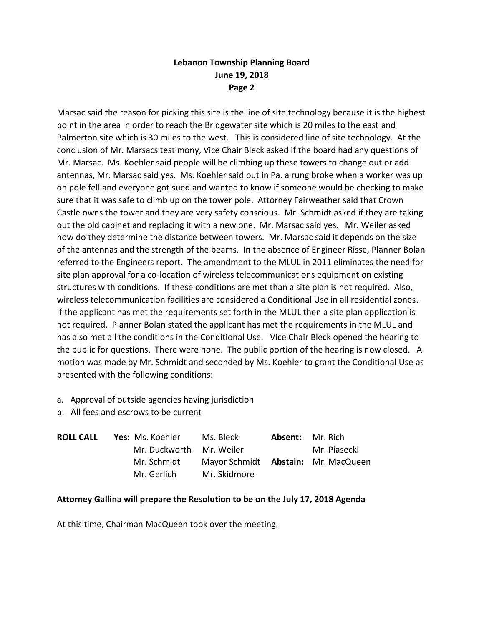## **Lebanon Township Planning Board June 19, 2018 Page 2**

Marsac said the reason for picking this site is the line of site technology because it is the highest point in the area in order to reach the Bridgewater site which is 20 miles to the east and Palmerton site which is 30 miles to the west. This is considered line of site technology. At the conclusion of Mr. Marsacs testimony, Vice Chair Bleck asked if the board had any questions of Mr. Marsac. Ms. Koehler said people will be climbing up these towers to change out or add antennas, Mr. Marsac said yes. Ms. Koehler said out in Pa. a rung broke when a worker was up on pole fell and everyone got sued and wanted to know if someone would be checking to make sure that it was safe to climb up on the tower pole. Attorney Fairweather said that Crown Castle owns the tower and they are very safety conscious. Mr. Schmidt asked if they are taking out the old cabinet and replacing it with a new one. Mr. Marsac said yes. Mr. Weiler asked how do they determine the distance between towers. Mr. Marsac said it depends on the size of the antennas and the strength of the beams. In the absence of Engineer Risse, Planner Bolan referred to the Engineers report. The amendment to the MLUL in 2011 eliminates the need for site plan approval for a co-location of wireless telecommunications equipment on existing structures with conditions. If these conditions are met than a site plan is not required. Also, wireless telecommunication facilities are considered a Conditional Use in all residential zones. If the applicant has met the requirements set forth in the MLUL then a site plan application is not required. Planner Bolan stated the applicant has met the requirements in the MLUL and has also met all the conditions in the Conditional Use. Vice Chair Bleck opened the hearing to the public for questions. There were none. The public portion of the hearing is now closed. A motion was made by Mr. Schmidt and seconded by Ms. Koehler to grant the Conditional Use as presented with the following conditions:

- a. Approval of outside agencies having jurisdiction
- b. All fees and escrows to be current

| <b>ROLL CALL</b> | <b>Yes:</b> Ms. Koehler  | Ms. Bleck                                  | <b>Absent:</b> Mr. Rich |
|------------------|--------------------------|--------------------------------------------|-------------------------|
|                  | Mr. Duckworth Mr. Weiler |                                            | Mr. Piasecki            |
|                  | Mr. Schmidt              | Mayor Schmidt <b>Abstain:</b> Mr. MacQueen |                         |
|                  | Mr. Gerlich              | Mr. Skidmore                               |                         |

## **Attorney Gallina will prepare the Resolution to be on the July 17, 2018 Agenda**

At this time, Chairman MacQueen took over the meeting.